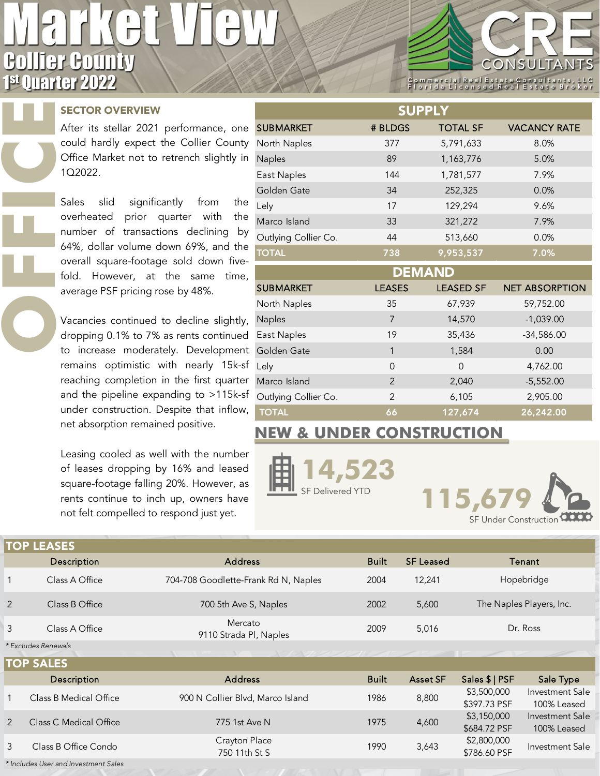## **Collier County** 1st Quarter 2022

## SECTOR OVERVIEW

**OFFICE** 

After its stellar 2021 performance, one could hardly expect the Collier County Office Market not to retrench slightly in 1Q2022.

Sales slid significantly from the overheated prior quarter with the number of transactions declining by 64%, dollar volume down 69%, and the overall square-footage sold down fivefold. However, at the same time, average PSF pricing rose by 48%.

Vacancies continued to decline slightly, dropping 0.1% to 7% as rents continued to increase moderately. Development remains optimistic with nearly 15k-sf reaching completion in the first quarter and the pipeline expanding to >115k-sf under construction. Despite that inflow, net absorption remained positive.

Leasing cooled as well with the number of leases dropping by 16% and leased square-footage falling 20%. However, as rents continue to inch up, owners have not felt compelled to respond just yet.

| <b>SUPPLY</b>        |                |                  |                       |  |  |  |  |
|----------------------|----------------|------------------|-----------------------|--|--|--|--|
| <b>SUBMARKET</b>     | # BLDGS        | <b>TOTAL SF</b>  | <b>VACANCY RATE</b>   |  |  |  |  |
| North Naples         | 377            | 5,791,633        | 8.0%                  |  |  |  |  |
| Naples               | 89             | 1,163,776        | 5.0%                  |  |  |  |  |
| East Naples          | 144            | 1,781,577        | 7.9%                  |  |  |  |  |
| Golden Gate          | 34             | 252,325          | 0.0%                  |  |  |  |  |
| Lely                 | 129,294<br>17  |                  | 9.6%                  |  |  |  |  |
| Marco Island         | 33             | 321,272          | 7.9%                  |  |  |  |  |
| Outlying Collier Co. | 44             | 513,660          | 0.0%                  |  |  |  |  |
| <b>TOTAL</b>         | 738            | 9,953,537        | 7.0%                  |  |  |  |  |
| <b>DEMAND</b>        |                |                  |                       |  |  |  |  |
| <b>SUBMARKET</b>     | <b>LEASES</b>  | <b>LEASED SF</b> | <b>NET ABSORPTION</b> |  |  |  |  |
| North Naples         | 35             | 67,939           | 59,752.00             |  |  |  |  |
| Naples               | $\overline{7}$ | 14,570           | $-1,039.00$           |  |  |  |  |
| East Naples          | 19             | 35,436           | $-34,586.00$          |  |  |  |  |
| Golden Gate          | 1              | 1,584            | 0.00                  |  |  |  |  |
| Lely                 | $\Omega$       | $\overline{0}$   | 4,762.00              |  |  |  |  |
| Marco Island         | $\mathfrak{p}$ | 2,040            | $-5,552.00$           |  |  |  |  |
| Outlying Collier Co. | $\mathfrak{p}$ | 6,105            | 2,905.00              |  |  |  |  |
| <b>TOTAL</b>         | 66             | 127,674          | 26,242.00             |  |  |  |  |

## **NEW & UNDER CONSTRUCTION**





ONSULTA

Commercial Real Estate Consultant<br>Florida Licensed Real Estate B

| <b>TOP LEASES</b>                                |                        |                                      |              |                  |                             |                                       |  |  |  |
|--------------------------------------------------|------------------------|--------------------------------------|--------------|------------------|-----------------------------|---------------------------------------|--|--|--|
| Description                                      |                        | <b>Address</b>                       | <b>Built</b> | <b>SF Leased</b> | Tenant                      |                                       |  |  |  |
| $\mathbf{1}$                                     | Class A Office         | 704-708 Goodlette-Frank Rd N, Naples | 2004         | 12,241           |                             | Hopebridge                            |  |  |  |
| 2                                                | Class B Office         | 700 5th Ave S, Naples                | 2002         | 5,600            |                             | The Naples Players, Inc.              |  |  |  |
| 3                                                | Class A Office         | Mercato<br>9110 Strada Pl, Naples    | 2009         | 5,016            | Dr. Ross                    |                                       |  |  |  |
| * Excludes Renewals<br>NETONI COMPANY SAN SAN SA |                        |                                      |              |                  |                             |                                       |  |  |  |
| <b>TOP SALES</b>                                 |                        |                                      |              |                  |                             |                                       |  |  |  |
|                                                  | Description            | <b>Address</b>                       | <b>Built</b> | <b>Asset SF</b>  | Sales \$   PSF              | Sale Type                             |  |  |  |
|                                                  | Class B Medical Office | 900 N Collier Blvd, Marco Island     | 1986         | 8,800            | \$3,500,000<br>\$397.73 PSF | Investment Sale<br>100% Leased        |  |  |  |
| 2                                                | Class C Medical Office | 775 1st Ave N                        | 1975         | 4,600            | \$3,150,000<br>\$684.72 PSF | <b>Investment Sale</b><br>100% Leased |  |  |  |
| 3                                                | Class B Office Condo   | Crayton Place<br>750 11th St S       | 1990         | 3,643            | \$2,800,000<br>\$786.60 PSF | Investment Sale                       |  |  |  |

*\* Includes User and Investment Sales*